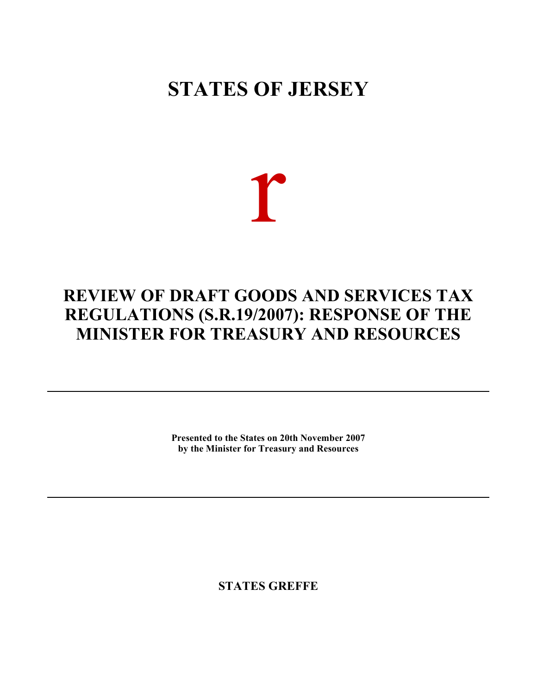## **STATES OF JERSEY**

# r

### **REVIEW OF DRAFT GOODS AND SERVICES TAX REGULATIONS (S.R.19/2007): RESPONSE OF THE MINISTER FOR TREASURY AND RESOURCES**

**Presented to the States on 20th November 2007 by the Minister for Treasury and Resources**

**STATES GREFFE**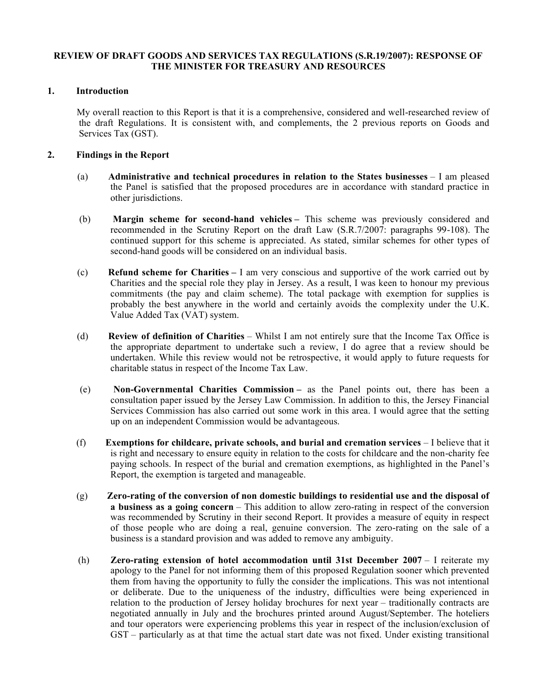#### **REVIEW OF DRAFT GOODS AND SERVICES TAX REGULATIONS (S.R.19/2007): RESPONSE OF THE MINISTER FOR TREASURY AND RESOURCES**

#### **1. Introduction**

 My overall reaction to this Report is that it is a comprehensive, considered and well-researched review of the draft Regulations. It is consistent with, and complements, the 2 previous reports on Goods and Services Tax (GST).

#### **2. Findings in the Report**

- (a) **Administrative and technical procedures in relation to the States businesses**  I am pleased the Panel is satisfied that the proposed procedures are in accordance with standard practice in other jurisdictions.
- (b) **Margin scheme for second-hand vehicles –** This scheme was previously considered and recommended in the Scrutiny Report on the draft Law (S.R.7/2007: paragraphs 99-108). The continued support for this scheme is appreciated. As stated, similar schemes for other types of second-hand goods will be considered on an individual basis.
- (c) **Refund scheme for Charities –** I am very conscious and supportive of the work carried out by Charities and the special role they play in Jersey. As a result, I was keen to honour my previous commitments (the pay and claim scheme). The total package with exemption for supplies is probably the best anywhere in the world and certainly avoids the complexity under the U.K. Value Added Tax (VAT) system.
- (d) **Review of definition of Charities**  Whilst I am not entirely sure that the Income Tax Office is the appropriate department to undertake such a review, I do agree that a review should be undertaken. While this review would not be retrospective, it would apply to future requests for charitable status in respect of the Income Tax Law.
- (e) **Non-Governmental Charities Commission –** as the Panel points out, there has been a consultation paper issued by the Jersey Law Commission. In addition to this, the Jersey Financial Services Commission has also carried out some work in this area. I would agree that the setting up on an independent Commission would be advantageous.
- (f) **Exemptions for childcare, private schools, and burial and cremation services**  I believe that it is right and necessary to ensure equity in relation to the costs for childcare and the non-charity fee paying schools. In respect of the burial and cremation exemptions, as highlighted in the Panel's Report, the exemption is targeted and manageable.
- (g) **Zero-rating of the conversion of non domestic buildings to residential use and the disposal of a business as a going concern** – This addition to allow zero-rating in respect of the conversion was recommended by Scrutiny in their second Report. It provides a measure of equity in respect of those people who are doing a real, genuine conversion. The zero-rating on the sale of a business is a standard provision and was added to remove any ambiguity.
- (h) **Zero-rating extension of hotel accommodation until 31st December 2007**  I reiterate my apology to the Panel for not informing them of this proposed Regulation sooner which prevented them from having the opportunity to fully the consider the implications. This was not intentional or deliberate. Due to the uniqueness of the industry, difficulties were being experienced in relation to the production of Jersey holiday brochures for next year – traditionally contracts are negotiated annually in July and the brochures printed around August/September. The hoteliers and tour operators were experiencing problems this year in respect of the inclusion/exclusion of GST – particularly as at that time the actual start date was not fixed. Under existing transitional